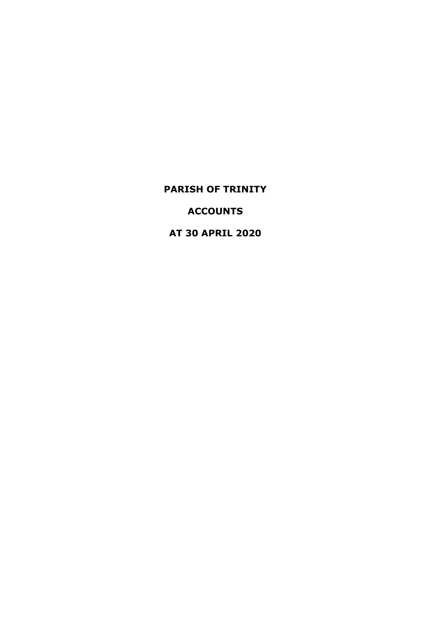**ACCOUNTS**

**AT 30 APRIL 2020**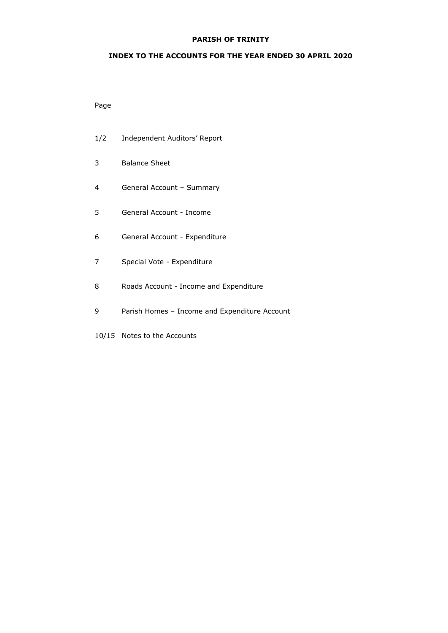### **INDEX TO THE ACCOUNTS FOR THE YEAR ENDED 30 APRIL 2020**

# Page

- 1/2 Independent Auditors' Report
- 3 Balance Sheet
- 4 General Account Summary
- 5 General Account Income
- 6 General Account Expenditure
- 7 Special Vote Expenditure
- 8 Roads Account Income and Expenditure
- 9 Parish Homes Income and Expenditure Account
- 10/15 Notes to the Accounts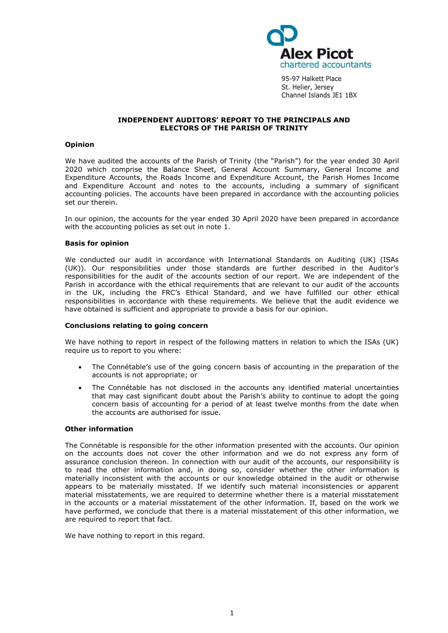

95-97 Halkett Place St. Helier, Jersey Channel Islands JE1 1BX

### **INDEPENDENT AUDITORS' REPORT TO THE PRINCIPALS AND ELECTORS OF THE PARISH OF TRINITY**

#### **Opinion**

We have audited the accounts of the Parish of Trinity (the "Parish") for the year ended 30 April 2020 which comprise the Balance Sheet, General Account Summary, General Income and Expenditure Accounts, the Roads Income and Expenditure Account, the Parish Homes Income and Expenditure Account and notes to the accounts, including a summary of significant accounting policies. The accounts have been prepared in accordance with the accounting policies set our therein.

In our opinion, the accounts for the year ended 30 April 2020 have been prepared in accordance with the accounting policies as set out in note 1.

#### **Basis for opinion**

We conducted our audit in accordance with International Standards on Auditing (UK) (ISAs (UK)). Our responsibilities under those standards are further described in the Auditor's responsibilities for the audit of the accounts section of our report. We are independent of the Parish in accordance with the ethical requirements that are relevant to our audit of the accounts in the UK, including the FRC's [Ethical Standard,](https://library.cch.co.uk/apbes2016r1) and we have fulfilled our other ethical responsibilities in accordance with these requirements. We believe that the audit evidence we have obtained is sufficient and appropriate to provide a basis for our opinion.

#### **Conclusions relating to going concern**

We have nothing to report in respect of the following matters in relation to which the ISAs (UK) require us to report to you where:

- The Connétable's use of the going concern basis of accounting in the preparation of the accounts is not appropriate; or
- The Connétable has not disclosed in the accounts any identified material uncertainties that may cast significant doubt about the Parish's ability to continue to adopt the going concern basis of accounting for a period of at least twelve months from the date when the accounts are authorised for issue.

#### **Other information**

The Connétable is responsible for the other information presented with the accounts. Our opinion on the accounts does not cover the other information and we do not express any form of assurance conclusion thereon. In connection with our audit of the accounts, our responsibility is to read the other information and, in doing so, consider whether the other information is materially inconsistent with the accounts or our knowledge obtained in the audit or otherwise appears to be materially misstated. If we identify such material inconsistencies or apparent material misstatements, we are required to determine whether there is a material misstatement in the accounts or a material misstatement of the other information. If, based on the work we have performed, we conclude that there is a material misstatement of this other information, we are required to report that fact.

We have nothing to report in this regard.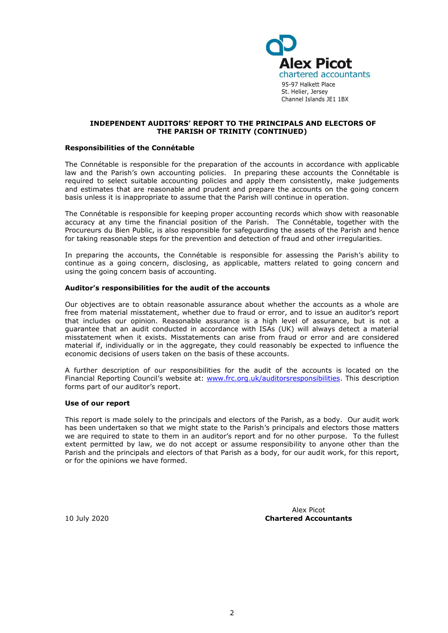

#### **INDEPENDENT AUDITORS' REPORT TO THE PRINCIPALS AND ELECTORS OF THE PARISH OF TRINITY (CONTINUED)**

#### **Responsibilities of the Connétable**

The Connétable is responsible for the preparation of the accounts in accordance with applicable law and the Parish's own accounting policies. In preparing these accounts the Connétable is required to select suitable accounting policies and apply them consistently, make judgements and estimates that are reasonable and prudent and prepare the accounts on the going concern basis unless it is inappropriate to assume that the Parish will continue in operation.

The Connétable is responsible for keeping proper accounting records which show with reasonable accuracy at any time the financial position of the Parish. The Connétable, together with the Procureurs du Bien Public, is also responsible for safeguarding the assets of the Parish and hence for taking reasonable steps for the prevention and detection of fraud and other irregularities.

In preparing the accounts, the Connétable is responsible for assessing the Parish's ability to continue as a going concern, disclosing, as applicable, matters related to going concern and using the going concern basis of accounting.

#### **Auditor's responsibilities for the audit of the accounts**

Our objectives are to obtain reasonable assurance about whether the accounts as a whole are free from material misstatement, whether due to fraud or error, and to issue an auditor's report that includes our opinion. Reasonable assurance is a high level of assurance, but is not a guarantee that an audit conducted in accordance with ISAs (UK) will always detect a material misstatement when it exists. Misstatements can arise from fraud or error and are considered material if, individually or in the aggregate, they could reasonably be expected to influence the economic decisions of users taken on the basis of these accounts.

A further description of our responsibilities for the audit of the accounts is located on the Financial Reporting Council's website at: [www.frc.org.uk/auditorsresponsibilities.](www.frc.org.uk/auditorsresponsibilities) This description forms part of our auditor's report.

#### **Use of our report**

This report is made solely to the principals and electors of the Parish, as a body. Our audit work has been undertaken so that we might state to the Parish's principals and electors those matters we are required to state to them in an auditor's report and for no other purpose. To the fullest extent permitted by law, we do not accept or assume responsibility to anyone other than the Parish and the principals and electors of that Parish as a body, for our audit work, for this report, or for the opinions we have formed.

Alex Picot 10 July 2020 **Chartered Accountants**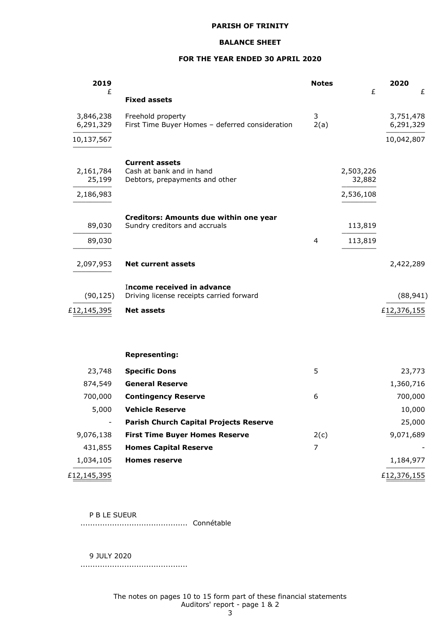### **BALANCE SHEET**

### **FOR THE YEAR ENDED 30 APRIL 2020**

| 2019                             |                                                                                     | <b>Notes</b>   | £                                | 2020                   |
|----------------------------------|-------------------------------------------------------------------------------------|----------------|----------------------------------|------------------------|
| £                                | <b>Fixed assets</b>                                                                 |                |                                  | £                      |
| 3,846,238<br>6,291,329           | Freehold property<br>First Time Buyer Homes - deferred consideration                | 3<br>2(a)      |                                  | 3,751,478<br>6,291,329 |
| 10,137,567                       |                                                                                     |                |                                  | 10,042,807             |
| 2,161,784<br>25,199<br>2,186,983 | <b>Current assets</b><br>Cash at bank and in hand<br>Debtors, prepayments and other |                | 2,503,226<br>32,882<br>2,536,108 |                        |
|                                  |                                                                                     |                |                                  |                        |
| 89,030                           | Creditors: Amounts due within one year<br>Sundry creditors and accruals             |                | 113,819                          |                        |
| 89,030                           |                                                                                     | $\overline{4}$ | 113,819                          |                        |
| 2,097,953                        | <b>Net current assets</b>                                                           |                |                                  | 2,422,289              |
| (90, 125)                        | <b>Income received in advance</b><br>Driving license receipts carried forward       |                |                                  | (88, 941)              |
| £12,145,395                      | <b>Net assets</b>                                                                   |                |                                  | £12,376,155            |
|                                  |                                                                                     |                |                                  |                        |
|                                  | <b>Representing:</b>                                                                |                |                                  |                        |
| 23,748                           | <b>Specific Dons</b>                                                                | 5              |                                  | 23,773                 |
| 874,549                          | <b>General Reserve</b>                                                              |                |                                  | 1,360,716              |
| 700,000                          | <b>Contingency Reserve</b>                                                          | 6              |                                  | 700,000                |
| 5,000                            | <b>Vehicle Reserve</b>                                                              |                |                                  | 10,000                 |
| $\overline{\phantom{a}}$         | <b>Parish Church Capital Projects Reserve</b>                                       |                |                                  | 25,000                 |
| 9,076,138                        | <b>First Time Buyer Homes Reserve</b>                                               | 2(c)           |                                  | 9,071,689              |
| 431,855                          | <b>Homes Capital Reserve</b>                                                        | 7              |                                  |                        |
| 1,034,105                        | <b>Homes reserve</b>                                                                |                |                                  | 1,184,977              |
| £12,145,395                      |                                                                                     |                |                                  | £12,376,155            |

P B LE SUEUR

............................................ Connétable

9 JULY 2020

............................................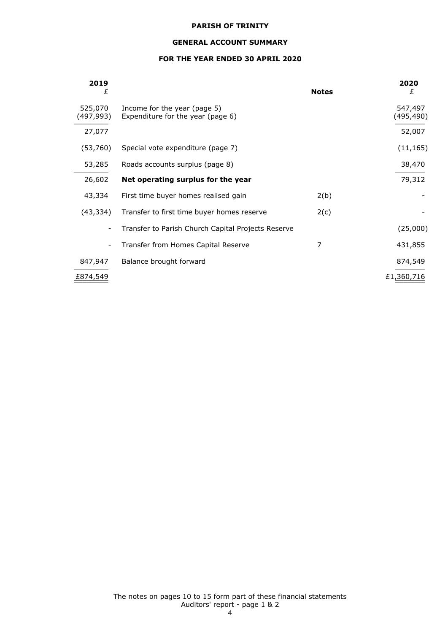### **GENERAL ACCOUNT SUMMARY**

# **FOR THE YEAR ENDED 30 APRIL 2020**

| 2019<br>£                |                                                                   | <b>Notes</b> | 2020<br>£            |
|--------------------------|-------------------------------------------------------------------|--------------|----------------------|
| 525,070<br>(497, 993)    | Income for the year (page 5)<br>Expenditure for the year (page 6) |              | 547,497<br>(495,490) |
| 27,077                   |                                                                   |              | 52,007               |
| (53,760)                 | Special vote expenditure (page 7)                                 |              | (11, 165)            |
| 53,285                   | Roads accounts surplus (page 8)                                   |              | 38,470               |
| 26,602                   | Net operating surplus for the year                                |              | 79,312               |
| 43,334                   | First time buyer homes realised gain                              | 2(b)         |                      |
| (43,334)                 | Transfer to first time buyer homes reserve                        | 2(c)         |                      |
| $\overline{\phantom{a}}$ | Transfer to Parish Church Capital Projects Reserve                |              | (25,000)             |
| -                        | Transfer from Homes Capital Reserve                               | 7            | 431,855              |
| 847,947                  | Balance brought forward                                           |              | 874,549              |
| £874,549                 |                                                                   |              | £1,360,716           |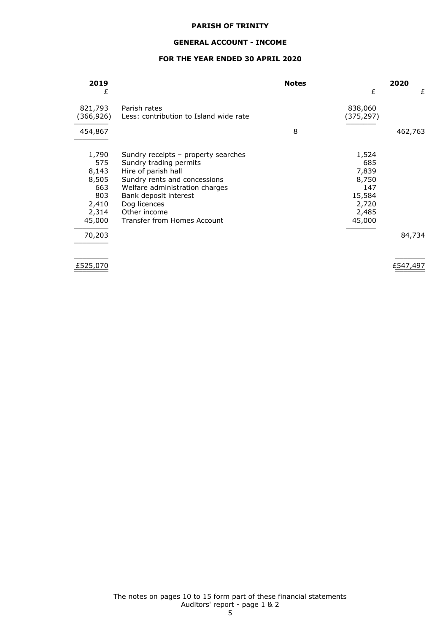### **GENERAL ACCOUNT - INCOME**

### **FOR THE YEAR ENDED 30 APRIL 2020**

| 2019      |                                        | <b>Notes</b> |            | 2020    |
|-----------|----------------------------------------|--------------|------------|---------|
| £         |                                        |              | £          | £       |
| 821,793   | Parish rates                           |              | 838,060    |         |
| (366,926) | Less: contribution to Island wide rate |              | (375, 297) |         |
| 454,867   |                                        | 8            |            | 462,763 |
| 1,790     | Sundry receipts – property searches    |              | 1,524      |         |
| 575       | Sundry trading permits                 |              | 685        |         |
| 8,143     | Hire of parish hall                    |              | 7,839      |         |
| 8,505     | Sundry rents and concessions           |              | 8,750      |         |
| 663       | Welfare administration charges         |              | 147        |         |
| 803       | Bank deposit interest                  |              | 15,584     |         |
| 2,410     | Dog licences                           |              | 2,720      |         |
| 2,314     | Other income                           |              | 2,485      |         |
| 45,000    | Transfer from Homes Account            |              | 45,000     |         |
| 70,203    |                                        |              |            | 84,734  |
|           |                                        |              |            |         |

£525,070  $\frac{2525,070}{2}$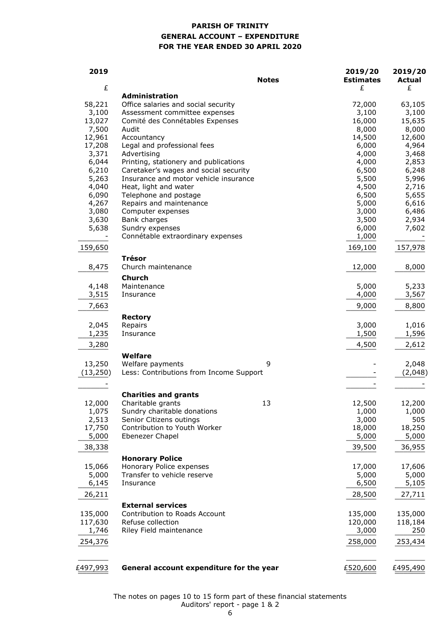# **PARISH OF TRINITY GENERAL ACCOUNT – EXPENDITURE FOR THE YEAR ENDED 30 APRIL 2020**

| 2019      | <b>Notes</b>                                                         | 2019/20<br><b>Estimates</b> | 2019/20<br><b>Actual</b> |
|-----------|----------------------------------------------------------------------|-----------------------------|--------------------------|
| £         |                                                                      | £                           | £                        |
| 58,221    | <b>Administration</b>                                                | 72,000                      | 63,105                   |
| 3,100     | Office salaries and social security<br>Assessment committee expenses | 3,100                       | 3,100                    |
| 13,027    | Comité des Connétables Expenses                                      | 16,000                      | 15,635                   |
| 7,500     | Audit                                                                | 8,000                       | 8,000                    |
| 12,961    | Accountancy                                                          | 14,500                      | 12,600                   |
| 17,208    | Legal and professional fees                                          | 6,000                       | 4,964                    |
| 3,371     | Advertising                                                          | 4,000                       | 3,468                    |
| 6,044     | Printing, stationery and publications                                | 4,000                       | 2,853                    |
| 6,210     | Caretaker's wages and social security                                | 6,500                       | 6,248                    |
| 5,263     | Insurance and motor vehicle insurance                                | 5,500                       | 5,996                    |
| 4,040     | Heat, light and water                                                | 4,500                       | 2,716                    |
| 6,090     | Telephone and postage                                                | 6,500                       | 5,655                    |
| 4,267     | Repairs and maintenance                                              | 5,000                       | 6,616                    |
| 3,080     | Computer expenses                                                    | 3,000                       | 6,486                    |
| 3,630     | Bank charges                                                         | 3,500                       | 2,934                    |
| 5,638     | Sundry expenses                                                      | 6,000                       | 7,602                    |
|           | Connétable extraordinary expenses                                    | 1,000                       |                          |
| 159,650   |                                                                      | 169,100                     | 157,978                  |
| 8,475     | <b>Trésor</b><br>Church maintenance                                  | 12,000                      | 8,000                    |
|           | <b>Church</b>                                                        |                             |                          |
| 4,148     | Maintenance                                                          | 5,000                       | 5,233                    |
| 3,515     | Insurance                                                            | 4,000                       | 3,567                    |
|           |                                                                      |                             |                          |
| 7,663     |                                                                      | 9,000                       | 8,800                    |
| 2,045     | <b>Rectory</b><br>Repairs                                            | 3,000                       | 1,016                    |
| 1,235     | Insurance                                                            | 1,500                       | 1,596                    |
| 3,280     |                                                                      | 4,500                       | 2,612                    |
|           | Welfare                                                              |                             |                          |
| 13,250    | 9<br>Welfare payments                                                |                             | 2,048                    |
| (13, 250) | Less: Contributions from Income Support                              |                             | (2,048)                  |
|           |                                                                      |                             |                          |
|           | <b>Charities and grants</b>                                          |                             |                          |
| 12,000    | 13<br>Charitable grants                                              | 12,500                      | 12,200                   |
| 1,075     | Sundry charitable donations                                          | 1,000                       | 1,000                    |
| 2,513     | Senior Citizens outings                                              | 3,000                       | 505                      |
| 17,750    | Contribution to Youth Worker                                         | 18,000                      | 18,250                   |
| 5,000     | Ebenezer Chapel                                                      | 5,000                       | 5,000                    |
| 38,338    |                                                                      | 39,500                      | 36,955                   |
|           | <b>Honorary Police</b>                                               |                             |                          |
| 15,066    | Honorary Police expenses                                             | 17,000                      | 17,606                   |
| 5,000     | Transfer to vehicle reserve                                          | 5,000                       | 5,000                    |
| 6,145     | Insurance                                                            | 6,500                       | 5,105                    |
| 26,211    |                                                                      | 28,500                      | 27,711                   |
|           | <b>External services</b>                                             |                             |                          |
| 135,000   | Contribution to Roads Account                                        | 135,000                     | 135,000                  |
| 117,630   | Refuse collection                                                    | 120,000                     | 118,184                  |
| 1,746     | Riley Field maintenance                                              | 3,000                       | 250                      |
| 254,376   |                                                                      | 258,000                     | 253,434                  |
|           |                                                                      |                             |                          |
| £497,993  | General account expenditure for the year                             | £520,600                    | £495,490                 |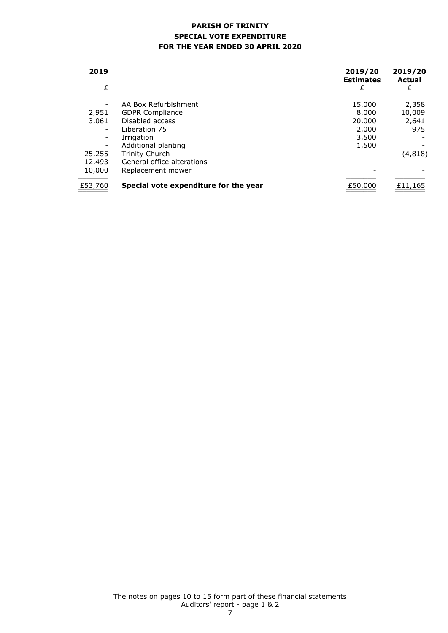# **PARISH OF TRINITY SPECIAL VOTE EXPENDITURE FOR THE YEAR ENDED 30 APRIL 2020**

| 2019<br>£                |                                       | 2019/20<br><b>Estimates</b><br>£ | 2019/20<br>Actual<br>£ |
|--------------------------|---------------------------------------|----------------------------------|------------------------|
| $\overline{\phantom{a}}$ | AA Box Refurbishment                  | 15,000                           | 2,358                  |
| 2,951                    | <b>GDPR Compliance</b>                | 8,000                            | 10,009                 |
| 3,061                    | Disabled access                       | 20,000                           | 2,641                  |
| $\overline{\phantom{a}}$ | Liberation 75                         | 2,000                            | 975                    |
| -                        | Irrigation                            | 3,500                            |                        |
| $\overline{\phantom{a}}$ | Additional planting                   | 1,500                            |                        |
| 25,255                   | Trinity Church                        |                                  | (4, 818)               |
| 12,493                   | General office alterations            |                                  |                        |
| 10,000                   | Replacement mower                     |                                  |                        |
| £53,760                  | Special vote expenditure for the year | £50,000                          | £11,165                |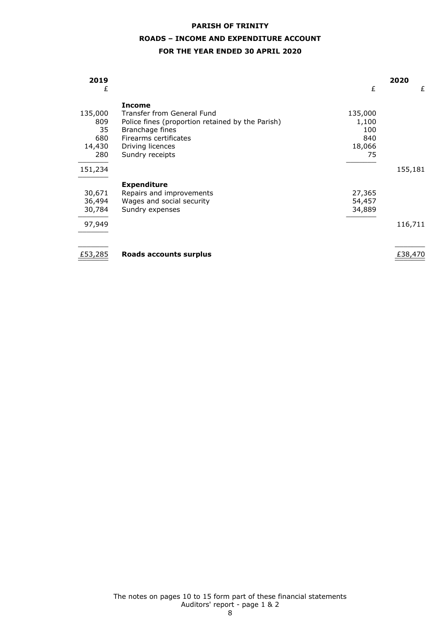# **ROADS – INCOME AND EXPENDITURE ACCOUNT**

### **FOR THE YEAR ENDED 30 APRIL 2020**

| 2019    |                                                  |         | 2020    |
|---------|--------------------------------------------------|---------|---------|
| £       |                                                  | £       | £       |
|         | <b>Income</b>                                    |         |         |
| 135,000 | Transfer from General Fund                       | 135,000 |         |
| 809     | Police fines (proportion retained by the Parish) | 1,100   |         |
| 35      | Branchage fines                                  | 100     |         |
| 680     | Firearms certificates                            | 840     |         |
| 14,430  | Driving licences                                 | 18,066  |         |
| 280     | Sundry receipts                                  | 75      |         |
|         |                                                  |         |         |
| 151,234 |                                                  |         | 155,181 |
|         | <b>Expenditure</b>                               |         |         |
| 30,671  | Repairs and improvements                         | 27,365  |         |
| 36,494  | Wages and social security                        | 54,457  |         |
| 30,784  | Sundry expenses                                  | 34,889  |         |
|         |                                                  |         |         |
| 97,949  |                                                  |         | 116,711 |
|         |                                                  |         |         |
|         |                                                  |         |         |
| £53,285 | Roads accounts surplus                           |         | £38,470 |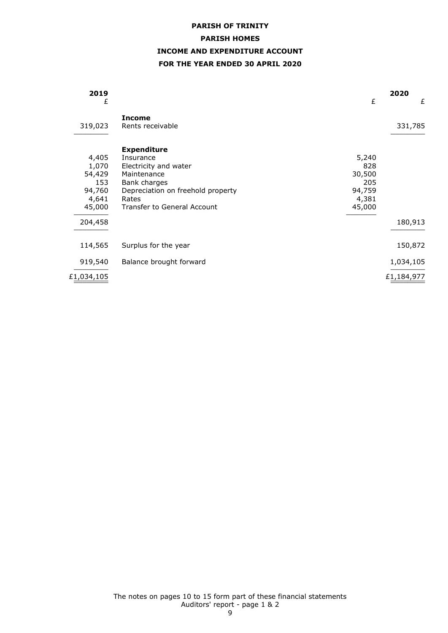### **PARISH HOMES**

# **INCOME AND EXPENDITURE ACCOUNT**

# **FOR THE YEAR ENDED 30 APRIL 2020**

| 2019<br>£                                                               |                                                                                                                                                                      | £                                                          | 2020<br>£  |
|-------------------------------------------------------------------------|----------------------------------------------------------------------------------------------------------------------------------------------------------------------|------------------------------------------------------------|------------|
| 319,023                                                                 | <b>Income</b><br>Rents receivable                                                                                                                                    |                                                            | 331,785    |
| 4,405<br>1,070<br>54,429<br>153<br>94,760<br>4,641<br>45,000<br>204,458 | <b>Expenditure</b><br>Insurance<br>Electricity and water<br>Maintenance<br>Bank charges<br>Depreciation on freehold property<br>Rates<br>Transfer to General Account | 5,240<br>828<br>30,500<br>205<br>94,759<br>4,381<br>45,000 | 180,913    |
| 114,565                                                                 | Surplus for the year                                                                                                                                                 |                                                            | 150,872    |
| 919,540                                                                 | Balance brought forward                                                                                                                                              |                                                            | 1,034,105  |
| £1,034,105                                                              |                                                                                                                                                                      |                                                            | £1,184,977 |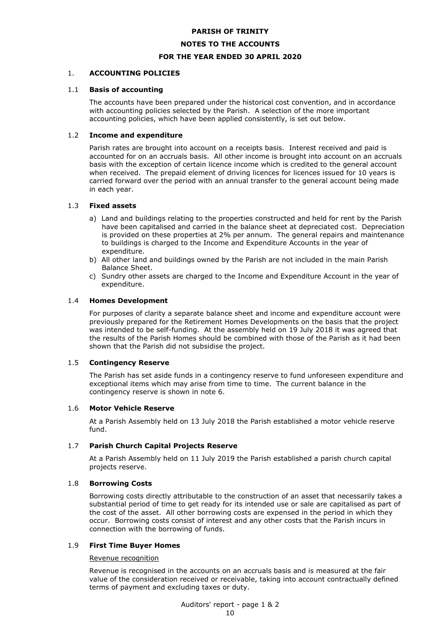### **NOTES TO THE ACCOUNTS**

### **FOR THE YEAR ENDED 30 APRIL 2020**

### 1. **ACCOUNTING POLICIES**

### 1.1 **Basis of accounting**

The accounts have been prepared under the historical cost convention, and in accordance with accounting policies selected by the Parish. A selection of the more important accounting policies, which have been applied consistently, is set out below.

### 1.2 **Income and expenditure**

Parish rates are brought into account on a receipts basis. Interest received and paid is accounted for on an accruals basis. All other income is brought into account on an accruals basis with the exception of certain licence income which is credited to the general account when received. The prepaid element of driving licences for licences issued for 10 years is carried forward over the period with an annual transfer to the general account being made in each year.

### 1.3 **Fixed assets**

- a) Land and buildings relating to the properties constructed and held for rent by the Parish have been capitalised and carried in the balance sheet at depreciated cost. Depreciation is provided on these properties at 2% per annum. The general repairs and maintenance to buildings is charged to the Income and Expenditure Accounts in the year of expenditure.
- b) All other land and buildings owned by the Parish are not included in the main Parish Balance Sheet.
- c) Sundry other assets are charged to the Income and Expenditure Account in the year of expenditure.

### 1.4 **Homes Development**

For purposes of clarity a separate balance sheet and income and expenditure account were previously prepared for the Retirement Homes Developments on the basis that the project was intended to be self-funding. At the assembly held on 19 July 2018 it was agreed that the results of the Parish Homes should be combined with those of the Parish as it had been shown that the Parish did not subsidise the project.

### 1.5 **Contingency Reserve**

The Parish has set aside funds in a contingency reserve to fund unforeseen expenditure and exceptional items which may arise from time to time. The current balance in the contingency reserve is shown in note 6.

### 1.6 **Motor Vehicle Reserve**

At a Parish Assembly held on 13 July 2018 the Parish established a motor vehicle reserve fund.

### 1.7 **Parish Church Capital Projects Reserve**

At a Parish Assembly held on 11 July 2019 the Parish established a parish church capital projects reserve.

### 1.8 **Borrowing Costs**

Borrowing costs directly attributable to the construction of an asset that necessarily takes a substantial period of time to get ready for its intended use or sale are capitalised as part of the cost of the asset. All other borrowing costs are expensed in the period in which they occur. Borrowing costs consist of interest and any other costs that the Parish incurs in connection with the borrowing of funds.

### 1.9 **First Time Buyer Homes**

### Revenue recognition

Revenue is recognised in the accounts on an accruals basis and is measured at the fair value of the consideration received or receivable, taking into account contractually defined terms of payment and excluding taxes or duty.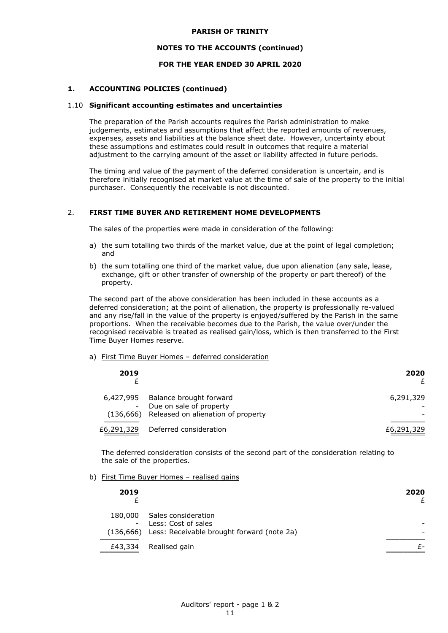#### **NOTES TO THE ACCOUNTS (continued)**

### **FOR THE YEAR ENDED 30 APRIL 2020**

### **1. ACCOUNTING POLICIES (continued)**

#### 1.10 **Significant accounting estimates and uncertainties**

The preparation of the Parish accounts requires the Parish administration to make judgements, estimates and assumptions that affect the reported amounts of revenues, expenses, assets and liabilities at the balance sheet date. However, uncertainty about these assumptions and estimates could result in outcomes that require a material adjustment to the carrying amount of the asset or liability affected in future periods.

The timing and value of the payment of the deferred consideration is uncertain, and is therefore initially recognised at market value at the time of sale of the property to the initial purchaser. Consequently the receivable is not discounted.

### 2. **FIRST TIME BUYER AND RETIREMENT HOME DEVELOPMENTS**

The sales of the properties were made in consideration of the following:

- a) the sum totalling two thirds of the market value, due at the point of legal completion; and
- b) the sum totalling one third of the market value, due upon alienation (any sale, lease, exchange, gift or other transfer of ownership of the property or part thereof) of the property.

The second part of the above consideration has been included in these accounts as a deferred consideration; at the point of alienation, the property is professionally re-valued and any rise/fall in the value of the property is enjoyed/suffered by the Parish in the same proportions. When the receivable becomes due to the Parish, the value over/under the recognised receivable is treated as realised gain/loss, which is then transferred to the First Time Buyer Homes reserve.

#### a) First Time Buyer Homes – deferred consideration

| 2019       |                                                                                                      | 2020       |
|------------|------------------------------------------------------------------------------------------------------|------------|
| 6,427,995  | Balance brought forward<br>- Due on sale of property<br>(136,666) Released on alienation of property | 6,291,329  |
| £6,291,329 | Deferred consideration                                                                               | £6,291,329 |

The deferred consideration consists of the second part of the consideration relating to the sale of the properties.

### b) First Time Buyer Homes – realised gains

| 2019    |                                                                                                      | 2020 |
|---------|------------------------------------------------------------------------------------------------------|------|
| 180,000 | Sales consideration<br>- Less: Cost of sales<br>(136,666) Less: Receivable brought forward (note 2a) |      |
| £43,334 | Realised gain                                                                                        |      |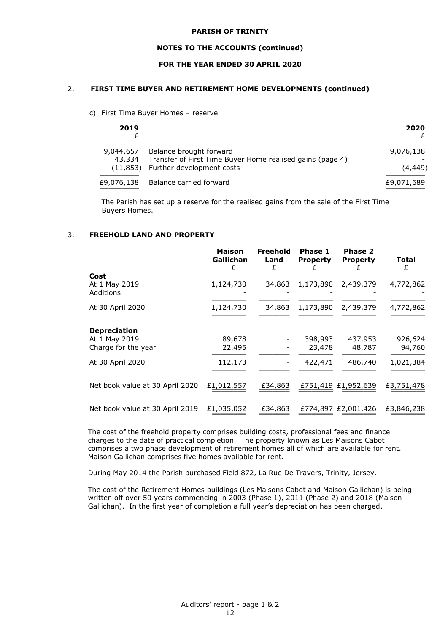#### **NOTES TO THE ACCOUNTS (continued)**

### **FOR THE YEAR ENDED 30 APRIL 2020**

### 2. **FIRST TIME BUYER AND RETIREMENT HOME DEVELOPMENTS (continued)**

c) First Time Buyer Homes - reserve

| 2019                |                                                                                                                            | 2020                  |
|---------------------|----------------------------------------------------------------------------------------------------------------------------|-----------------------|
| 9,044,657<br>43,334 | Balance brought forward<br>Transfer of First Time Buyer Home realised gains (page 4)<br>(11,853) Further development costs | 9,076,138<br>(4, 449) |
| £9,076,138          | Balance carried forward                                                                                                    | £9,071,689            |

The Parish has set up a reserve for the realised gains from the sale of the First Time Buyers Homes.

### 3. **FREEHOLD LAND AND PROPERTY**

|                                 | <b>Maison</b><br>Gallichan<br>£ | <b>Freehold</b><br>Land<br>£ | Phase 1<br><b>Property</b> | <b>Phase 2</b><br><b>Property</b> | Total<br>£ |
|---------------------------------|---------------------------------|------------------------------|----------------------------|-----------------------------------|------------|
| Cost                            |                                 |                              |                            |                                   |            |
| At 1 May 2019<br>Additions      | 1,124,730                       | 34,863                       | 1,173,890                  | 2,439,379                         | 4,772,862  |
| At 30 April 2020                | 1,124,730                       | 34,863                       | 1,173,890                  | 2,439,379                         | 4,772,862  |
| <b>Depreciation</b>             |                                 |                              |                            |                                   |            |
| At 1 May 2019                   | 89,678                          |                              | 398,993                    | 437,953                           | 926,624    |
| Charge for the year             | 22,495                          |                              | 23,478                     | 48,787                            | 94,760     |
| At 30 April 2020                | 112,173                         |                              | 422,471                    | 486,740                           | 1,021,384  |
| Net book value at 30 April 2020 | £1,012,557                      | £34,863                      |                            | £751,419 £1,952,639               | £3,751,478 |
| Net book value at 30 April 2019 | £1,035,052                      | £34,863                      |                            | £774,897 £2,001,426               | £3,846,238 |

The cost of the freehold property comprises building costs, professional fees and finance charges to the date of practical completion. The property known as Les Maisons Cabot comprises a two phase development of retirement homes all of which are available for rent. Maison Gallichan comprises five homes available for rent.

During May 2014 the Parish purchased Field 872, La Rue De Travers, Trinity, Jersey.

The cost of the Retirement Homes buildings (Les Maisons Cabot and Maison Gallichan) is being written off over 50 years commencing in 2003 (Phase 1), 2011 (Phase 2) and 2018 (Maison Gallichan). In the first year of completion a full year's depreciation has been charged.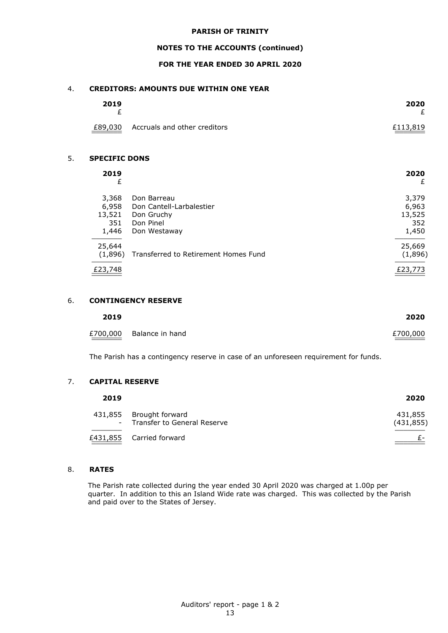### **NOTES TO THE ACCOUNTS (continued)**

### **FOR THE YEAR ENDED 30 APRIL 2020**

### 4. **CREDITORS: AMOUNTS DUE WITHIN ONE YEAR**

| 2019    |                              | 2020     |
|---------|------------------------------|----------|
| £89,030 | Accruals and other creditors | £113,819 |

#### 5. **SPECIFIC DONS**

| 2019<br>£ |                                      | 2020<br>£ |
|-----------|--------------------------------------|-----------|
| 3,368     | Don Barreau                          | 3,379     |
| 6,958     | Don Cantell-Larbalestier             | 6,963     |
| 13,521    | Don Gruchy                           | 13,525    |
| 351       | Don Pinel                            | 352       |
| 1,446     | Don Westaway                         | 1,450     |
| 25,644    |                                      | 25,669    |
| (1,896)   | Transferred to Retirement Homes Fund | (1,896)   |
| £23,748   |                                      | £23,773   |

### 6. **CONTINGENCY RESERVE**

| 2019 |                          | 2020     |
|------|--------------------------|----------|
|      | £700,000 Balance in hand | £700,000 |

The Parish has a contingency reserve in case of an unforeseen requirement for funds.

### 7. **CAPITAL RESERVE**

| 2019 |                                                          | 2020                  |
|------|----------------------------------------------------------|-----------------------|
|      | 431,855 Brought forward<br>- Transfer to General Reserve | 431,855<br>(431, 855) |
|      | £431,855 Carried forward                                 | £-                    |

### 8. **RATES**

The Parish rate collected during the year ended 30 April 2020 was charged at 1.00p per quarter. In addition to this an Island Wide rate was charged. This was collected by the Parish and paid over to the States of Jersey.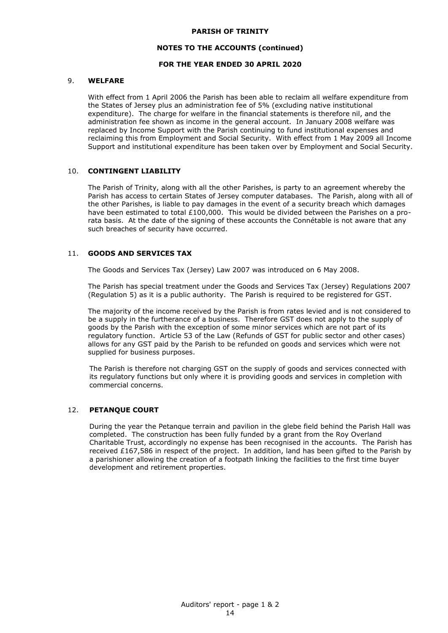### **NOTES TO THE ACCOUNTS (continued)**

### **FOR THE YEAR ENDED 30 APRIL 2020**

### 9. **WELFARE**

With effect from 1 April 2006 the Parish has been able to reclaim all welfare expenditure from the States of Jersey plus an administration fee of 5% (excluding native institutional expenditure). The charge for welfare in the financial statements is therefore nil, and the administration fee shown as income in the general account. In January 2008 welfare was replaced by Income Support with the Parish continuing to fund institutional expenses and reclaiming this from Employment and Social Security. With effect from 1 May 2009 all Income Support and institutional expenditure has been taken over by Employment and Social Security.

### 10. **CONTINGENT LIABILITY**

The Parish of Trinity, along with all the other Parishes, is party to an agreement whereby the Parish has access to certain States of Jersey computer databases. The Parish, along with all of the other Parishes, is liable to pay damages in the event of a security breach which damages have been estimated to total £100,000. This would be divided between the Parishes on a prorata basis. At the date of the signing of these accounts the Connétable is not aware that any such breaches of security have occurred.

### 11. **GOODS AND SERVICES TAX**

The Goods and Services Tax (Jersey) Law 2007 was introduced on 6 May 2008.

The Parish has special treatment under the Goods and Services Tax (Jersey) Regulations 2007 (Regulation 5) as it is a public authority. The Parish is required to be registered for GST.

The majority of the income received by the Parish is from rates levied and is not considered to be a supply in the furtherance of a business. Therefore GST does not apply to the supply of goods by the Parish with the exception of some minor services which are not part of its regulatory function. Article 53 of the Law (Refunds of GST for public sector and other cases) allows for any GST paid by the Parish to be refunded on goods and services which were not supplied for business purposes.

The Parish is therefore not charging GST on the supply of goods and services connected with its regulatory functions but only where it is providing goods and services in completion with commercial concerns.

### 12. **PETANQUE COURT**

During the year the Petanque terrain and pavilion in the glebe field behind the Parish Hall was completed. The construction has been fully funded by a grant from the Roy Overland Charitable Trust, accordingly no expense has been recognised in the accounts. The Parish has received £167,586 in respect of the project. In addition, land has been gifted to the Parish by a parishioner allowing the creation of a footpath linking the facilities to the first time buyer development and retirement properties.